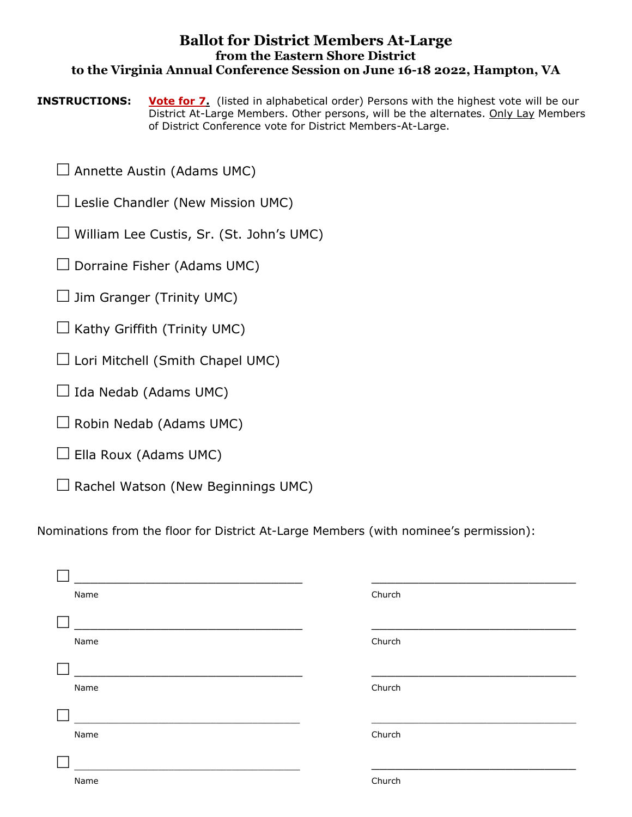## **Ballot for District Members At-Large from the Eastern Shore District to the Virginia Annual Conference Session on June 16-18 2022, Hampton, VA**

**INSTRUCTIONS:** Vote for 7. (listed in alphabetical order) Persons with the highest vote will be our District At-Large Members. Other persons, will be the alternates. Only Lay Members of District Conference vote for District Members-At-Large.

 $\Box$  Annette Austin (Adams UMC)

 $\Box$  Leslie Chandler (New Mission UMC)

 $\Box$  William Lee Custis, Sr. (St. John's UMC)

 $\Box$  Dorraine Fisher (Adams UMC)

 $\Box$  Jim Granger (Trinity UMC)

 $\Box$  Kathy Griffith (Trinity UMC)

 $\Box$  Lori Mitchell (Smith Chapel UMC)

 $\Box$  Ida Nedab (Adams UMC)

 $\Box$  Robin Nedab (Adams UMC)

 $\Box$  Ella Roux (Adams UMC)

 $\Box$  Rachel Watson (New Beginnings UMC)

Nominations from the floor for District At-Large Members (with nominee's permission):

| Name | Church |
|------|--------|
| Name | Church |
| Name | Church |
| Name | Church |
| Name | Church |